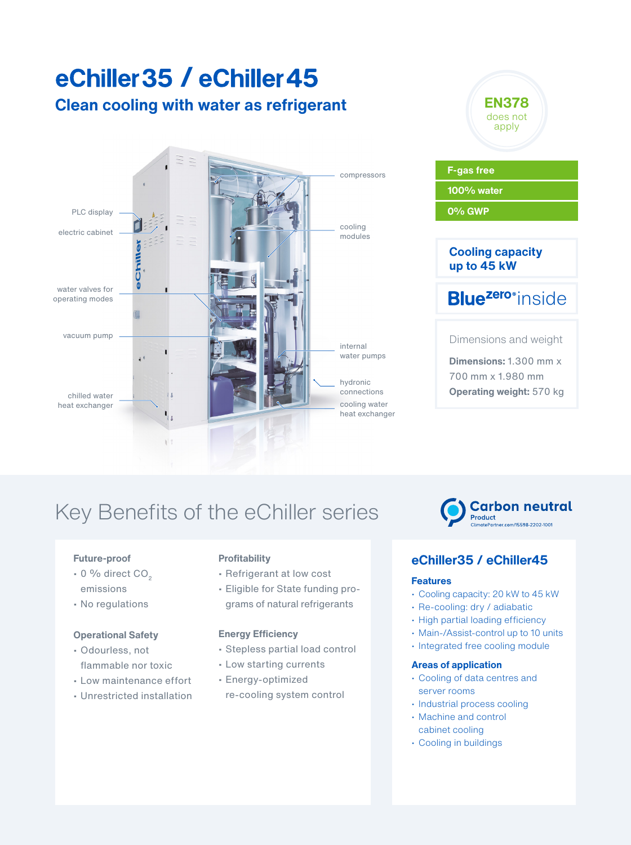## **Clean cooling with water as refrigerant** eChiller 35 / eChiller 45





**Operating weight:** 570 kg

**Carbon neutral** 

# Key Benefits of the eChiller series

### **Future-proof**

- $\cdot$  0 % direct CO<sub>2</sub> emissions
- No regulations

### **Operational Safety**

- Odourless, not flammable nor toxic
- Low maintenance effort
- Unrestricted installation

### **Profitability**

- Refrigerant at low cost
- Eligible for State funding programs of natural refrigerants

### **Energy Efficiency**

- Stepless partial load control
- Low starting currents
- Energy-optimized
- re-cooling system control

# ther.com/15598-2202-1001

Product

## **eChiller35 / eChiller45**

### **Features**

- Cooling capacity: 20 kW to 45 kW
- Re-cooling: dry / adiabatic
- High partial loading efficiency
- Main-/Assist-control up to 10 units
- Integrated free cooling module

### **Areas of application**

- Cooling of data centres and server rooms
- Industrial process cooling
- Machine and control cabinet cooling
- Cooling in buildings